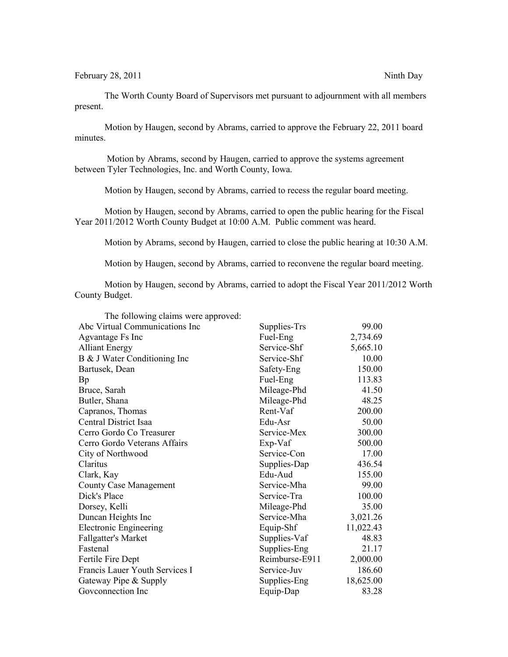The Worth County Board of Supervisors met pursuant to adjournment with all members present.

Motion by Haugen, second by Abrams, carried to approve the February 22, 2011 board minutes.

 Motion by Abrams, second by Haugen, carried to approve the systems agreement between Tyler Technologies, Inc. and Worth County, Iowa.

Motion by Haugen, second by Abrams, carried to recess the regular board meeting.

Motion by Haugen, second by Abrams, carried to open the public hearing for the Fiscal Year 2011/2012 Worth County Budget at 10:00 A.M. Public comment was heard.

Motion by Abrams, second by Haugen, carried to close the public hearing at 10:30 A.M.

Motion by Haugen, second by Abrams, carried to reconvene the regular board meeting.

Motion by Haugen, second by Abrams, carried to adopt the Fiscal Year 2011/2012 Worth County Budget.

| Supplies-Trs   | 99.00     |
|----------------|-----------|
| Fuel-Eng       | 2,734.69  |
| Service-Shf    | 5,665.10  |
| Service-Shf    | 10.00     |
| Safety-Eng     | 150.00    |
| Fuel-Eng       | 113.83    |
| Mileage-Phd    | 41.50     |
| Mileage-Phd    | 48.25     |
| Rent-Vaf       | 200.00    |
| Edu-Asr        | 50.00     |
| Service-Mex    | 300.00    |
| Exp-Vaf        | 500.00    |
| Service-Con    | 17.00     |
| Supplies-Dap   | 436.54    |
| Edu-Aud        | 155.00    |
| Service-Mha    | 99.00     |
| Service-Tra    | 100.00    |
| Mileage-Phd    | 35.00     |
| Service-Mha    | 3,021.26  |
| Equip-Shf      | 11,022.43 |
| Supplies-Vaf   | 48.83     |
| Supplies-Eng   | 21.17     |
| Reimburse-E911 | 2,000.00  |
| Service-Juv    | 186.60    |
| Supplies-Eng   | 18,625.00 |
| Equip-Dap      | 83.28     |
|                |           |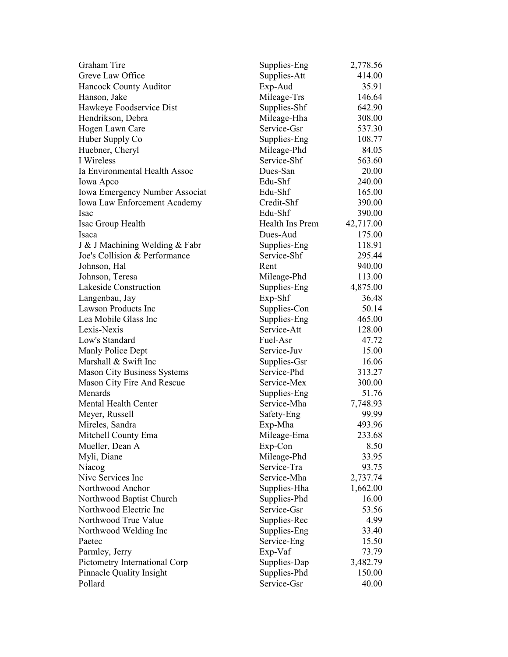| Graham Tire                        | Supplies-Eng    | 2,778.56  |
|------------------------------------|-----------------|-----------|
| Greve Law Office                   | Supplies-Att    | 414.00    |
| Hancock County Auditor             | Exp-Aud         | 35.91     |
| Hanson, Jake                       | Mileage-Trs     | 146.64    |
| Hawkeye Foodservice Dist           | Supplies-Shf    | 642.90    |
| Hendrikson, Debra                  | Mileage-Hha     | 308.00    |
| Hogen Lawn Care                    | Service-Gsr     | 537.30    |
| Huber Supply Co                    | Supplies-Eng    | 108.77    |
| Huebner, Cheryl                    | Mileage-Phd     | 84.05     |
| I Wireless                         | Service-Shf     | 563.60    |
| Ia Environmental Health Assoc      | Dues-San        | 20.00     |
| Iowa Apco                          | Edu-Shf         | 240.00    |
| Iowa Emergency Number Associat     | Edu-Shf         | 165.00    |
| Iowa Law Enforcement Academy       | Credit-Shf      | 390.00    |
| Isac                               | Edu-Shf         | 390.00    |
| Isac Group Health                  | Health Ins Prem | 42,717.00 |
| Isaca                              | Dues-Aud        | 175.00    |
| J & J Machining Welding & Fabr     | Supplies-Eng    | 118.91    |
| Joe's Collision & Performance      | Service-Shf     | 295.44    |
| Johnson, Hal                       | Rent            | 940.00    |
| Johnson, Teresa                    | Mileage-Phd     | 113.00    |
| Lakeside Construction              | Supplies-Eng    | 4,875.00  |
| Langenbau, Jay                     | Exp-Shf         | 36.48     |
| <b>Lawson Products Inc</b>         | Supplies-Con    | 50.14     |
| Lea Mobile Glass Inc               | Supplies-Eng    | 465.00    |
| Lexis-Nexis                        | Service-Att     | 128.00    |
| Low's Standard                     | Fuel-Asr        | 47.72     |
| Manly Police Dept                  | Service-Juv     | 15.00     |
| Marshall & Swift Inc               | Supplies-Gsr    | 16.06     |
| <b>Mason City Business Systems</b> | Service-Phd     | 313.27    |
| Mason City Fire And Rescue         | Service-Mex     | 300.00    |
| Menards                            | Supplies-Eng    | 51.76     |
| Mental Health Center               | Service-Mha     | 7,748.93  |
| Meyer, Russell                     | Safety-Eng      | 99.99     |
| Mireles, Sandra                    | Exp-Mha         | 493.96    |
| Mitchell County Ema                | Mileage-Ema     | 233.68    |
| Mueller, Dean A                    | Exp-Con         | 8.50      |
| Myli, Diane                        | Mileage-Phd     | 33.95     |
| Niacog                             | Service-Tra     | 93.75     |
| Nive Services Inc                  | Service-Mha     | 2,737.74  |
| Northwood Anchor                   | Supplies-Hha    | 1,662.00  |
| Northwood Baptist Church           | Supplies-Phd    | 16.00     |
| Northwood Electric Inc             | Service-Gsr     | 53.56     |
| Northwood True Value               | Supplies-Rec    | 4.99      |
| Northwood Welding Inc              | Supplies-Eng    | 33.40     |
| Paetec                             | Service-Eng     | 15.50     |
| Parmley, Jerry                     | Exp-Vaf         | 73.79     |
| Pictometry International Corp      | Supplies-Dap    | 3,482.79  |
| Pinnacle Quality Insight           | Supplies-Phd    | 150.00    |
| Pollard                            | Service-Gsr     | 40.00     |